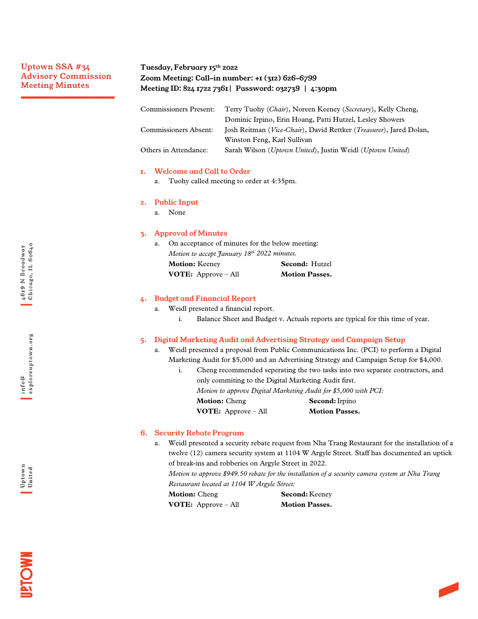# Uptown SSA #34 Advisory Commission Meeting Minutes

# Tuesday, February 15th 2022 Zoom Meeting: Call-in number: +1 (312) 626-6799 Meeting ID: 824 1722 7361| Password: 032739 | 4:30pm

| <b>Commissioners Present:</b> | Terry Tuohy (Chair), Noreen Keeney (Secretary), Kelly Cheng,       |
|-------------------------------|--------------------------------------------------------------------|
|                               | Dominic Irpino, Erin Hoang, Patti Hutzel, Lesley Showers           |
| Commissioners Absent:         | Josh Reitman (Vice-Chair), David Rettker (Treasurer), Jared Dolan, |
|                               | Winston Feng, Karl Sullivan                                        |
| Others in Attendance:         | Sarah Wilson (Uptown United), Justin Weidl (Uptown United)         |

### 1. Welcome and Call to Order

a. Tuohy called meeting to order at 4:35pm.

### 2. Public Input

a. None

### 3. Approval of Minutes

|    | <b>VOTE:</b> Approve $-$ All                    | <b>Motion Passes.</b> |  |
|----|-------------------------------------------------|-----------------------|--|
|    | <b>Motion: Keeney</b>                           | Second: Hutzel        |  |
|    | Motion to accept January 18th 2022 minutes.     |                       |  |
| a. | On acceptance of minutes for the below meeting: |                       |  |

## 4. Budget and Financial Report

a. Weidl presented a financial report.

i. Balance Sheet and Budget v. Actuals reports are typical for this time of year.

## 5. Digital Marketing Audit and Advertising Strategy and Campaign Setup

- a. Weidl presented a proposal from Public Communications Inc. (PCI) to perform a Digital Marketing Audit for \$5,000 and an Advertising Strategy and Campaign Setup for \$4,000.
	- i. Cheng recommended seperating the two tasks into two separate contractors, and only commiting to the Digital Marketing Audit first. *Motion to approve Digital Marketing Audit for \$5,000 with PCI:* **Motion:** Cheng **Second:**Irpino **VOTE:** Approve – All **Motion Passes.**

## 6. Security Rebate Program

a. Weidl presented a security rebate request from Nha Trang Restaurant for the installation of a twelve (12) camera security system at 1104 W Argyle Street. Staff has documented an uptick of break-ins and robberies on Argyle Street in 2022.

*Motion to approve \$949.50 rebate for the installation of a security camera system at Nha Trang Restaurant located at 1104 W Argyle Street:*

| <b>Motion:</b> Cheng         | <b>Second:</b> Keeney |
|------------------------------|-----------------------|
| <b>VOTE:</b> Approve $-$ All | <b>Motion Passes.</b> |

**MOL5**